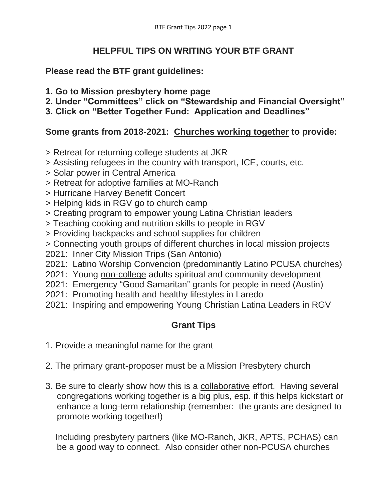## **HELPFUL TIPS ON WRITING YOUR BTF GRANT**

## **Please read the BTF grant guidelines:**

- **1. Go to Mission presbytery home page**
- **2. Under "Committees" click on "Stewardship and Financial Oversight"**
- **3. Click on "Better Together Fund: Application and Deadlines"**

## **Some grants from 2018-2021: Churches working together to provide:**

- > Retreat for returning college students at JKR
- > Assisting refugees in the country with transport, ICE, courts, etc.
- > Solar power in Central America
- > Retreat for adoptive families at MO-Ranch
- > Hurricane Harvey Benefit Concert
- > Helping kids in RGV go to church camp
- > Creating program to empower young Latina Christian leaders
- > Teaching cooking and nutrition skills to people in RGV
- > Providing backpacks and school supplies for children
- > Connecting youth groups of different churches in local mission projects
- 2021: Inner City Mission Trips (San Antonio)
- 2021: Latino Worship Convencion (predominantly Latino PCUSA churches)
- 2021: Young non-college adults spiritual and community development
- 2021: Emergency "Good Samaritan" grants for people in need (Austin)
- 2021: Promoting health and healthy lifestyles in Laredo
- 2021: Inspiring and empowering Young Christian Latina Leaders in RGV

## **Grant Tips**

- 1. Provide a meaningful name for the grant
- 2. The primary grant-proposer must be a Mission Presbytery church
- 3. Be sure to clearly show how this is a collaborative effort. Having several congregations working together is a big plus, esp. if this helps kickstart or enhance a long-term relationship (remember: the grants are designed to promote working together!)

 Including presbytery partners (like MO-Ranch, JKR, APTS, PCHAS) can be a good way to connect. Also consider other non-PCUSA churches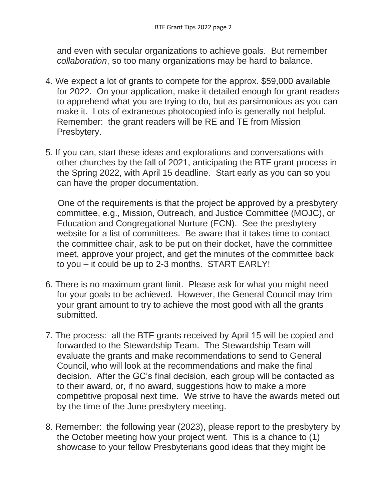and even with secular organizations to achieve goals. But remember *collaboration*, so too many organizations may be hard to balance.

- 4. We expect a lot of grants to compete for the approx. \$59,000 available for 2022. On your application, make it detailed enough for grant readers to apprehend what you are trying to do, but as parsimonious as you can make it. Lots of extraneous photocopied info is generally not helpful. Remember: the grant readers will be RE and TE from Mission Presbytery.
- 5. If you can, start these ideas and explorations and conversations with other churches by the fall of 2021, anticipating the BTF grant process in the Spring 2022, with April 15 deadline. Start early as you can so you can have the proper documentation.

 One of the requirements is that the project be approved by a presbytery committee, e.g., Mission, Outreach, and Justice Committee (MOJC), or Education and Congregational Nurture (ECN). See the presbytery website for a list of committees. Be aware that it takes time to contact the committee chair, ask to be put on their docket, have the committee meet, approve your project, and get the minutes of the committee back to you – it could be up to 2-3 months. START EARLY!

- 6. There is no maximum grant limit. Please ask for what you might need for your goals to be achieved. However, the General Council may trim your grant amount to try to achieve the most good with all the grants submitted.
- 7. The process: all the BTF grants received by April 15 will be copied and forwarded to the Stewardship Team. The Stewardship Team will evaluate the grants and make recommendations to send to General Council, who will look at the recommendations and make the final decision. After the GC's final decision, each group will be contacted as to their award, or, if no award, suggestions how to make a more competitive proposal next time. We strive to have the awards meted out by the time of the June presbytery meeting.
- 8. Remember: the following year (2023), please report to the presbytery by the October meeting how your project went. This is a chance to (1) showcase to your fellow Presbyterians good ideas that they might be